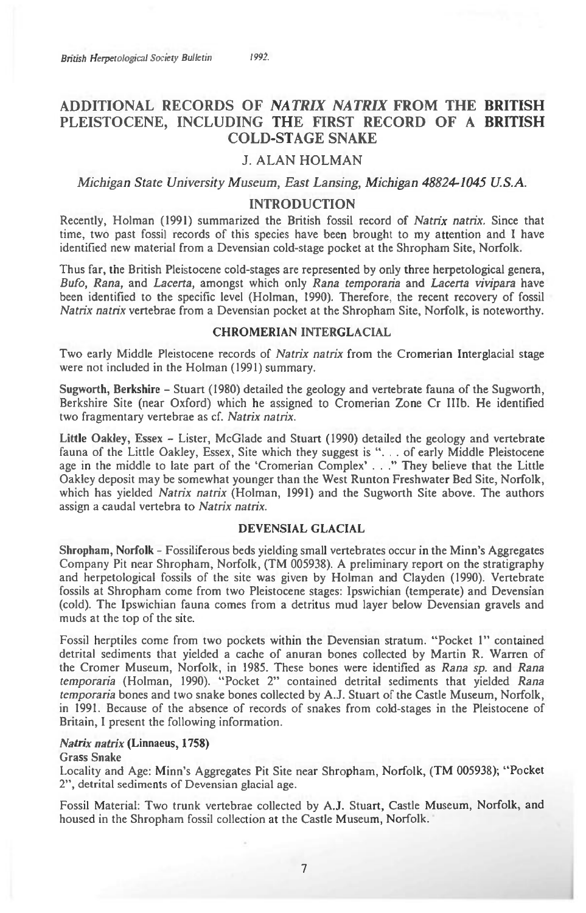# **ADDITIONAL RECORDS OF** *NATRIX NATRIX* **FROM THE BRITISH PLEISTOCENE, INCLUDING THE FIRST RECORD OF A BRITISH COLD-STAGE SNAKE**

# **J. ALAN HOLMAN**

*Michigan State University Museum, East Lansing, Michigan 48824-1045 U.S.A.* 

## **INTRODUCTION**

Recently, Holman (1991) summarized the British fossil record of *Natrix natrix.* Since that time, two past fossil records of this species have been brought to my attention and I have identified new material from a Devensian cold-stage pocket at the Shropham Site, Norfolk.

Thus far, the British Pleistocene cold-stages are represented by only three herpetological genera, *Bufo, Rana,* and *Lacerta,* amongst which only *Rana temporaria* and *Lacerta vivipara* have been identified to the specific level (Holman, 1990). Therefore, the recent recovery of fossil *Natrix natrix* vertebrae from a Devensian pocket at the Shropham Site, Norfolk, is noteworthy.

## **CHROMERIAN INTERGLACIAL**

Two early Middle Pleistocene records of *Natrix natrix* from the Cromerian Interglacial stage were not included in the Holman (1991) summary.

**Sugworth, Berkshire -** Stuart (1980) detailed the geology and vertebrate fauna of the Sugworth, Berkshire Site (near Oxford) which he assigned to Cromerian Zone Cr IIIb. He identified two fragmentary vertebrae as cf. *Natrix natrix.* 

**Little Oakley,** Essex - Lister, McGlade and Stuart (1990) detailed the geology and vertebrate fauna of the Little Oakley, Essex, Site which they suggest is ". . . of early Middle Pleistocene age in the middle to late part of the 'Cromerian Complex' . . ." They believe that the Little Oakley deposit may be somewhat younger than the West Runton Freshwater Bed Site, Norfolk, which has yielded *Natrix natrix* (Holman, 1991) and the Sugworth Site above. The authors assign a caudal vertebra to *Natrix natrix.* 

#### **DEVENSIAL GLACIAL**

**Shropham, Norfolk -** Fossiliferous beds yielding small vertebrates occur in the Minn's Aggregates Company Pit near Shropham, Norfolk, (TM 005938). A preliminary report on the stratigraphy and herpetological fossils of the site was given by Holman and Clayden (1990). Vertebrate fossils at Shropham come from two Pleistocene stages: Ipswichian (temperate) and Devensian (cold). The Ipswichian fauna comes from a detritus mud layer below Devensian gravels and muds at the top of the site.

Fossil herptiles come from two pockets within the Devensian stratum. "Pocket 1" contained detrital sediments that yielded a cache of anuran bones collected by Martin R. Warren of the Cromer Museum, Norfolk, in 1985. These bones were identified as *Rana sp.* and *Rana temporaria* (Holman, 1990). "Pocket 2" contained detrital sediments that yielded *Rana temporaria* bones and two snake bones collected by A.J. Stuart of the Castle Museum, Norfolk, in 1991. Because of the absence of records of snakes from cold-stages in the Pleistocene of Britain, I present the following information.

## *Natrix natrix* **(Linnaeus, 1758)**

#### Grass **Snake**

Locality and Age: Minn's Aggregates Pit Site near Shropham, Norfolk, (TM 005938); "Pocket 2", detrital sediments of Devensian glacial age.

Fossil Material: Two trunk vertebrae collected by A.J. Stuart, Castle Museum, Norfolk, and housed in the Shropham fossil collection at the Castle Museum, Norfolk.